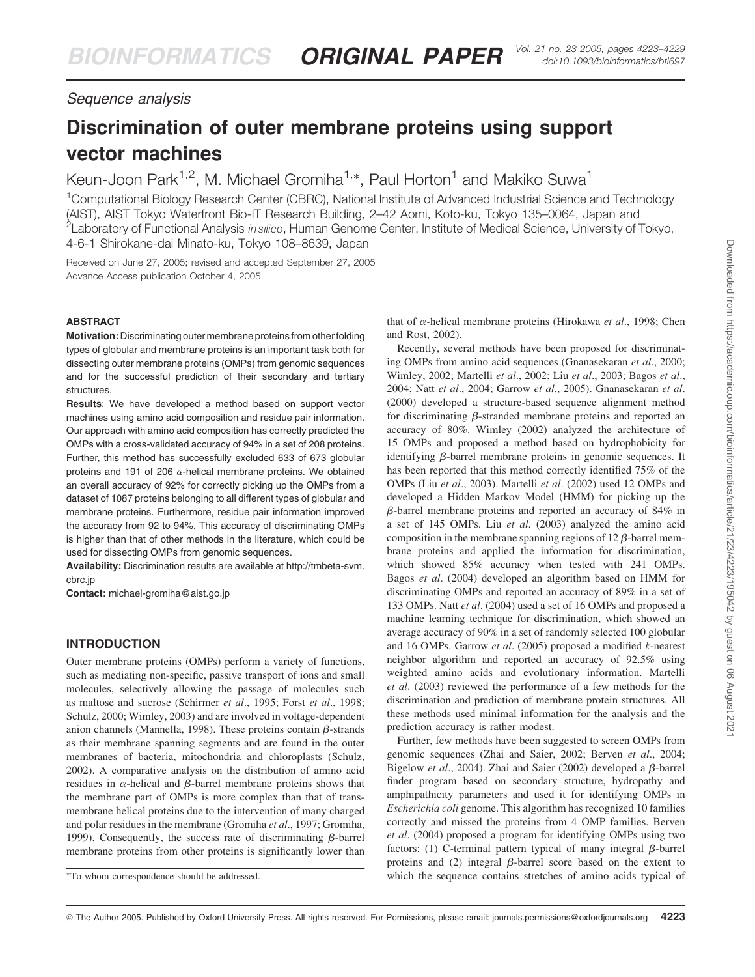# Sequence analysis

# Discrimination of outer membrane proteins using support vector machines

Keun-Joon Park<sup>1,2</sup>, M. Michael Gromiha<sup>1,\*</sup>, Paul Horton<sup>1</sup> and Makiko Suwa<sup>1</sup>

<sup>1</sup>Computational Biology Research Center (CBRC), National Institute of Advanced Industrial Science and Technology (AIST), AIST Tokyo Waterfront Bio-IT Research Building, 2–42 Aomi, Koto-ku, Tokyo 135–0064, Japan and <sup>2</sup>Laboratory of Functional Analysis *in silico*, Human Genome Center, Institute of Medical Science, University of Tokyo, 4-6-1 Shirokane-dai Minato-ku, Tokyo 108–8639, Japan

Received on June 27, 2005; revised and accepted September 27, 2005 Advance Access publication October 4, 2005

# ABSTRACT

Motivation: Discriminating outer membrane proteins from other folding types of globular and membrane proteins is an important task both for dissecting outer membrane proteins (OMPs) from genomic sequences and for the successful prediction of their secondary and tertiary structures.

Results: We have developed a method based on support vector machines using amino acid composition and residue pair information. Our approach with amino acid composition has correctly predicted the OMPs with a cross-validated accuracy of 94% in a set of 208 proteins. Further, this method has successfully excluded 633 of 673 globular proteins and 191 of 206  $\alpha$ -helical membrane proteins. We obtained an overall accuracy of 92% for correctly picking up the OMPs from a dataset of 1087 proteins belonging to all different types of globular and membrane proteins. Furthermore, residue pair information improved the accuracy from 92 to 94%. This accuracy of discriminating OMPs is higher than that of other methods in the literature, which could be used for dissecting OMPs from genomic sequences.

Availability: Discrimination results are available at http://tmbeta-svm. cbrc.jp

Contact: michael-gromiha@aist.go.jp

# INTRODUCTION

Outer membrane proteins (OMPs) perform a variety of functions, such as mediating non-specific, passive transport of ions and small molecules, selectively allowing the passage of molecules such as maltose and sucrose (Schirmer *et al*., 1995; Forst *et al*., 1998; Schulz, 2000; Wimley, 2003) and are involved in voltage-dependent anion channels (Mannella, 1998). These proteins contain  $\beta$ -strands as their membrane spanning segments and are found in the outer membranes of bacteria, mitochondria and chloroplasts (Schulz, 2002). A comparative analysis on the distribution of amino acid residues in  $\alpha$ -helical and  $\beta$ -barrel membrane proteins shows that the membrane part of OMPs is more complex than that of transmembrane helical proteins due to the intervention of many charged and polar residues in the membrane (Gromiha *et al*., 1997; Gromiha, 1999). Consequently, the success rate of discriminating  $\beta$ -barrel membrane proteins from other proteins is significantly lower than

that of a-helical membrane proteins (Hirokawa *et al*., 1998; Chen and Rost, 2002).

Recently, several methods have been proposed for discriminating OMPs from amino acid sequences (Gnanasekaran *et al*., 2000; Wimley, 2002; Martelli *et al*., 2002; Liu *et al*., 2003; Bagos *et al*., 2004; Natt *et al*., 2004; Garrow *et al*., 2005). Gnanasekaran *et al*. (2000) developed a structure-based sequence alignment method for discriminating  $\beta$ -stranded membrane proteins and reported an accuracy of 80%. Wimley (2002) analyzed the architecture of 15 OMPs and proposed a method based on hydrophobicity for identifying  $\beta$ -barrel membrane proteins in genomic sequences. It has been reported that this method correctly identified 75% of the OMPs (Liu *et al*., 2003). Martelli *et al*. (2002) used 12 OMPs and developed a Hidden Markov Model (HMM) for picking up the  $\beta$ -barrel membrane proteins and reported an accuracy of 84% in a set of 145 OMPs. Liu *et al*. (2003) analyzed the amino acid composition in the membrane spanning regions of  $12 \beta$ -barrel membrane proteins and applied the information for discrimination, which showed 85% accuracy when tested with 241 OMPs. Bagos *et al*. (2004) developed an algorithm based on HMM for discriminating OMPs and reported an accuracy of 89% in a set of 133 OMPs. Natt *et al*. (2004) used a set of 16 OMPs and proposed a machine learning technique for discrimination, which showed an average accuracy of 90% in a set of randomly selected 100 globular and 16 OMPs. Garrow *et al*. (2005) proposed a modified *k*-nearest neighbor algorithm and reported an accuracy of 92.5% using weighted amino acids and evolutionary information. Martelli *et al*. (2003) reviewed the performance of a few methods for the discrimination and prediction of membrane protein structures. All these methods used minimal information for the analysis and the prediction accuracy is rather modest.

Further, few methods have been suggested to screen OMPs from genomic sequences (Zhai and Saier, 2002; Berven *et al*., 2004; Bigelow et al., 2004). Zhai and Saier (2002) developed a  $\beta$ -barrel finder program based on secondary structure, hydropathy and amphipathicity parameters and used it for identifying OMPs in *Escherichia coli* genome. This algorithm has recognized 10 families correctly and missed the proteins from 4 OMP families. Berven *et al*. (2004) proposed a program for identifying OMPs using two factors: (1) C-terminal pattern typical of many integral  $\beta$ -barrel proteins and  $(2)$  integral  $\beta$ -barrel score based on the extent to \*To whom correspondence should be addressed. Which the sequence contains stretches of amino acids typical of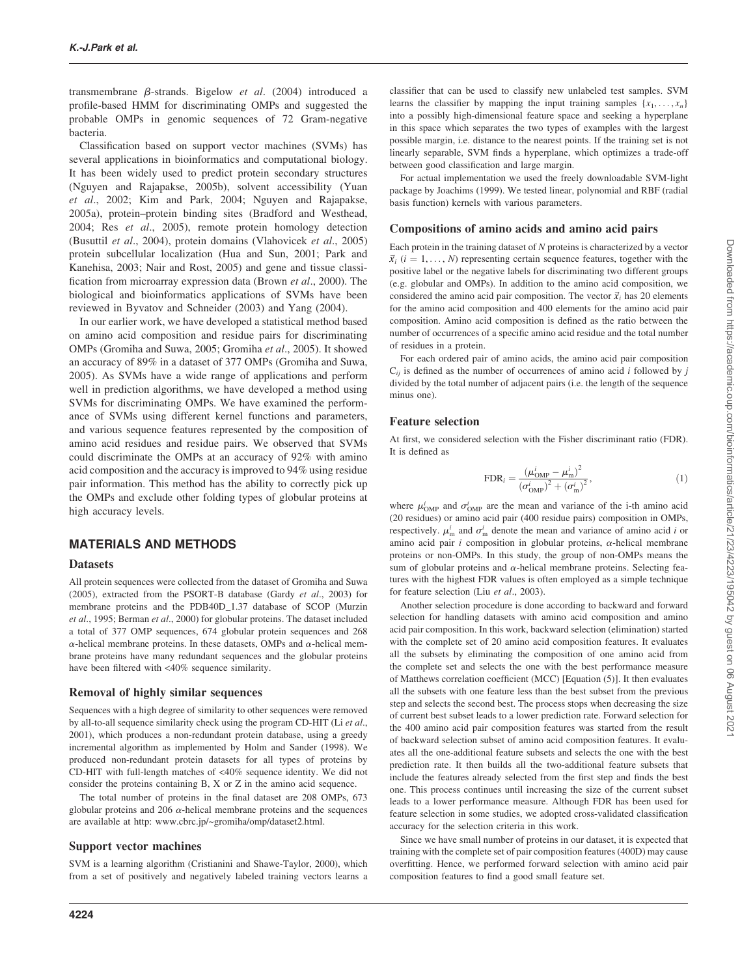transmembrane  $\beta$ -strands. Bigelow *et al.* (2004) introduced a profile-based HMM for discriminating OMPs and suggested the probable OMPs in genomic sequences of 72 Gram-negative bacteria.

Classification based on support vector machines (SVMs) has several applications in bioinformatics and computational biology. It has been widely used to predict protein secondary structures (Nguyen and Rajapakse, 2005b), solvent accessibility (Yuan *et al*., 2002; Kim and Park, 2004; Nguyen and Rajapakse, 2005a), protein–protein binding sites (Bradford and Westhead, 2004; Res *et al*., 2005), remote protein homology detection (Busuttil *et al*., 2004), protein domains (Vlahovicek *et al*., 2005) protein subcellular localization (Hua and Sun, 2001; Park and Kanehisa, 2003; Nair and Rost, 2005) and gene and tissue classification from microarray expression data (Brown *et al*., 2000). The biological and bioinformatics applications of SVMs have been reviewed in Byvatov and Schneider (2003) and Yang (2004).

In our earlier work, we have developed a statistical method based on amino acid composition and residue pairs for discriminating OMPs (Gromiha and Suwa, 2005; Gromiha *et al*., 2005). It showed an accuracy of 89% in a dataset of 377 OMPs (Gromiha and Suwa, 2005). As SVMs have a wide range of applications and perform well in prediction algorithms, we have developed a method using SVMs for discriminating OMPs. We have examined the performance of SVMs using different kernel functions and parameters, and various sequence features represented by the composition of amino acid residues and residue pairs. We observed that SVMs could discriminate the OMPs at an accuracy of 92% with amino acid composition and the accuracy is improved to 94% using residue pair information. This method has the ability to correctly pick up the OMPs and exclude other folding types of globular proteins at high accuracy levels.

# MATERIALS AND METHODS

#### **Datasets**

All protein sequences were collected from the dataset of Gromiha and Suwa (2005), extracted from the PSORT-B database (Gardy *et al*., 2003) for membrane proteins and the PDB40D\_1.37 database of SCOP (Murzin *et al*., 1995; Berman *et al*., 2000) for globular proteins. The dataset included a total of 377 OMP sequences, 674 globular protein sequences and 268  $\alpha$ -helical membrane proteins. In these datasets, OMPs and  $\alpha$ -helical membrane proteins have many redundant sequences and the globular proteins have been filtered with <40% sequence similarity.

#### Removal of highly similar sequences

Sequences with a high degree of similarity to other sequences were removed by all-to-all sequence similarity check using the program CD-HIT (Li *et al*., 2001), which produces a non-redundant protein database, using a greedy incremental algorithm as implemented by Holm and Sander (1998). We produced non-redundant protein datasets for all types of proteins by CD-HIT with full-length matches of <40% sequence identity. We did not consider the proteins containing B, X or Z in the amino acid sequence.

The total number of proteins in the final dataset are 208 OMPs, 673 globular proteins and 206  $\alpha$ -helical membrane proteins and the sequences are available at http: www.cbrc.jp/~gromiha/omp/dataset2.html.

## Support vector machines

SVM is a learning algorithm (Cristianini and Shawe-Taylor, 2000), which from a set of positively and negatively labeled training vectors learns a

For actual implementation we used the freely downloadable SVM-light package by Joachims (1999). We tested linear, polynomial and RBF (radial basis function) kernels with various parameters.

## Compositions of amino acids and amino acid pairs

Each protein in the training dataset of *N* proteins is characterized by a vector  $\vec{x}_i$  ( $i = 1, \ldots, N$ ) representing certain sequence features, together with the positive label or the negative labels for discriminating two different groups (e.g. globular and OMPs). In addition to the amino acid composition, we considered the amino acid pair composition. The vector  $\vec{x}_i$  has 20 elements for the amino acid composition and 400 elements for the amino acid pair composition. Amino acid composition is defined as the ratio between the number of occurrences of a specific amino acid residue and the total number of residues in a protein.

For each ordered pair of amino acids, the amino acid pair composition  $C_{ii}$  is defined as the number of occurrences of amino acid *i* followed by *j* divided by the total number of adjacent pairs (i.e. the length of the sequence minus one).

#### Feature selection

At first, we considered selection with the Fisher discriminant ratio (FDR). It is defined as

$$
FDR_i = \frac{(\mu_{\rm OMP}^i - \mu_{\rm m}^i)^2}{(\sigma_{\rm OMP}^i)^2 + (\sigma_{\rm m}^i)^2},\tag{1}
$$

where  $\mu_{\text{OMP}}^i$  and  $\sigma_{\text{OMP}}^i$  are the mean and variance of the i-th amino acid (20 residues) or amino acid pair (400 residue pairs) composition in OMPs, respectively.  $\mu_{m}^{i}$  and  $\sigma_{m}^{i}$  denote the mean and variance of amino acid *i* or amino acid pair  $i$  composition in globular proteins,  $\alpha$ -helical membrane proteins or non-OMPs. In this study, the group of non-OMPs means the sum of globular proteins and  $\alpha$ -helical membrane proteins. Selecting features with the highest FDR values is often employed as a simple technique for feature selection (Liu *et al*., 2003).

Another selection procedure is done according to backward and forward selection for handling datasets with amino acid composition and amino acid pair composition. In this work, backward selection (elimination) started with the complete set of 20 amino acid composition features. It evaluates all the subsets by eliminating the composition of one amino acid from the complete set and selects the one with the best performance measure of Matthews correlation coefficient (MCC) [Equation (5)]. It then evaluates all the subsets with one feature less than the best subset from the previous step and selects the second best. The process stops when decreasing the size of current best subset leads to a lower prediction rate. Forward selection for the 400 amino acid pair composition features was started from the result of backward selection subset of amino acid composition features. It evaluates all the one-additional feature subsets and selects the one with the best prediction rate. It then builds all the two-additional feature subsets that include the features already selected from the first step and finds the best one. This process continues until increasing the size of the current subset leads to a lower performance measure. Although FDR has been used for feature selection in some studies, we adopted cross-validated classification accuracy for the selection criteria in this work.

Since we have small number of proteins in our dataset, it is expected that training with the complete set of pair composition features (400D) may cause overfitting. Hence, we performed forward selection with amino acid pair composition features to find a good small feature set.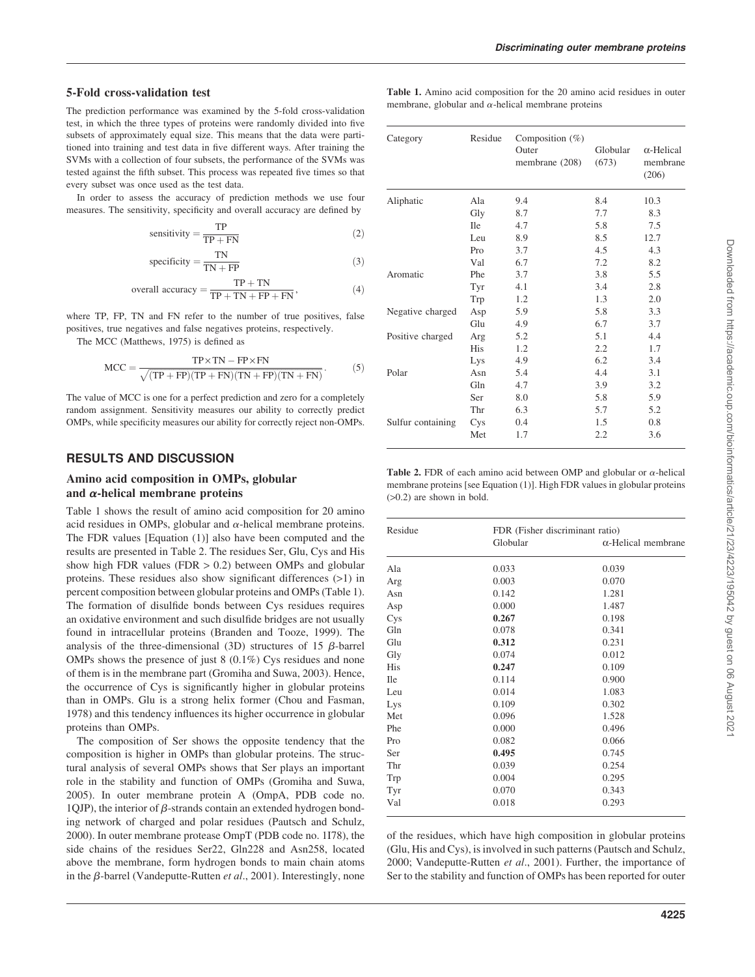## 5-Fold cross-validation test

The prediction performance was examined by the 5-fold cross-validation test, in which the three types of proteins were randomly divided into five subsets of approximately equal size. This means that the data were partitioned into training and test data in five different ways. After training the SVMs with a collection of four subsets, the performance of the SVMs was tested against the fifth subset. This process was repeated five times so that every subset was once used as the test data.

In order to assess the accuracy of prediction methods we use four measures. The sensitivity, specificity and overall accuracy are defined by

$$
sensitivity = \frac{TP}{TP + FN}
$$
 (2)

specificity = 
$$
\frac{TN}{TN + FP}
$$
 (3)

overall accuracy = 
$$
\frac{TP + TN}{TP + TN + FP + FN},
$$
 (4)

where TP, FP, TN and FN refer to the number of true positives, false positives, true negatives and false negatives proteins, respectively.

The MCC (Matthews, 1975) is defined as

$$
MCC = \frac{TP \times TN - FP \times FN}{\sqrt{(TP + FP)(TP + FN)(TN + FP)(TN + FN)}}.
$$
 (5)

The value of MCC is one for a perfect prediction and zero for a completely random assignment. Sensitivity measures our ability to correctly predict OMPs, while specificity measures our ability for correctly reject non-OMPs.

## RESULTS AND DISCUSSION

# Amino acid composition in OMPs, globular and  $\alpha$ -helical membrane proteins

Table 1 shows the result of amino acid composition for 20 amino acid residues in OMPs, globular and  $\alpha$ -helical membrane proteins. The FDR values [Equation (1)] also have been computed and the results are presented in Table 2. The residues Ser, Glu, Cys and His show high FDR values (FDR  $> 0.2$ ) between OMPs and globular proteins. These residues also show significant differences (>1) in percent composition between globular proteins and OMPs (Table 1). The formation of disulfide bonds between Cys residues requires an oxidative environment and such disulfide bridges are not usually found in intracellular proteins (Branden and Tooze, 1999). The analysis of the three-dimensional (3D) structures of 15  $\beta$ -barrel OMPs shows the presence of just 8 (0.1%) Cys residues and none of them is in the membrane part (Gromiha and Suwa, 2003). Hence, the occurrence of Cys is significantly higher in globular proteins than in OMPs. Glu is a strong helix former (Chou and Fasman, 1978) and this tendency influences its higher occurrence in globular proteins than OMPs.

The composition of Ser shows the opposite tendency that the composition is higher in OMPs than globular proteins. The structural analysis of several OMPs shows that Ser plays an important role in the stability and function of OMPs (Gromiha and Suwa, 2005). In outer membrane protein A (OmpA, PDB code no. 1QJP), the interior of  $\beta$ -strands contain an extended hydrogen bonding network of charged and polar residues (Pautsch and Schulz, 2000). In outer membrane protease OmpT (PDB code no. 1I78), the side chains of the residues Ser22, Gln228 and Asn258, located above the membrane, form hydrogen bonds to main chain atoms in the β-barrel (Vandeputte-Rutten *et al.*, 2001). Interestingly, none

| <b>Table 1.</b> Amino acid composition for the 20 amino acid residues in outer |  |  |  |  |  |
|--------------------------------------------------------------------------------|--|--|--|--|--|
| membrane, globular and $\alpha$ -helical membrane proteins                     |  |  |  |  |  |

| Category          | Residue    | Composition $(\%)$<br>Outer<br>membrane (208) | Globular<br>(673) | $\alpha$ -Helical<br>membrane<br>(206) |
|-------------------|------------|-----------------------------------------------|-------------------|----------------------------------------|
| Aliphatic         | Ala        | 9.4                                           | 8.4               | 10.3                                   |
|                   | Gly        | 8.7                                           | 7.7               | 8.3                                    |
|                   | <b>Ile</b> | 4.7                                           | 5.8               | 7.5                                    |
|                   | Leu        | 8.9                                           | 8.5               | 12.7                                   |
|                   | Pro        | 3.7                                           | 4.5               | 4.3                                    |
|                   | Val        | 6.7                                           | 7.2               | 8.2                                    |
| Aromatic          | Phe        | 3.7                                           | 3.8               | 5.5                                    |
|                   | Tyr        | 4.1                                           | 3.4               | 2.8                                    |
|                   | Trp        | 1.2                                           | 1.3               | 2.0                                    |
| Negative charged  | Asp        | 5.9                                           | 5.8               | 3.3                                    |
|                   | Glu        | 4.9                                           | 6.7               | 3.7                                    |
| Positive charged  | Arg        | 5.2                                           | 5.1               | 4.4                                    |
|                   | His        | 1.2                                           | 2.2               | 1.7                                    |
|                   | Lys        | 4.9                                           | 6.2               | 3.4                                    |
| Polar             | Asn        | 5.4                                           | 4.4               | 3.1                                    |
|                   | Gln        | 4.7                                           | 3.9               | 3.2                                    |
|                   | Ser        | 8.0                                           | 5.8               | 5.9                                    |
|                   | Thr        | 6.3                                           | 5.7               | 5.2                                    |
| Sulfur containing | Cys        | 0.4                                           | 1.5               | 0.8                                    |
|                   | Met        | 1.7                                           | 2.2               | 3.6                                    |

Table 2. FDR of each amino acid between OMP and globular or  $\alpha$ -helical membrane proteins [see Equation (1)]. High FDR values in globular proteins (>0.2) are shown in bold.

| Residue    | FDR (Fisher discriminant ratio)<br>Globular<br>$\alpha$ -Helical membrane |       |  |
|------------|---------------------------------------------------------------------------|-------|--|
| Ala        | 0.033                                                                     | 0.039 |  |
| Arg        | 0.003                                                                     | 0.070 |  |
| Asn        | 0.142                                                                     | 1.281 |  |
| Asp        | 0.000                                                                     | 1.487 |  |
| Cys        | 0.267                                                                     | 0.198 |  |
| Gln        | 0.078                                                                     | 0.341 |  |
| Glu        | 0.312                                                                     | 0.231 |  |
| Gly        | 0.074                                                                     | 0.012 |  |
| <b>His</b> | 0.247                                                                     | 0.109 |  |
| <b>Ile</b> | 0.114                                                                     | 0.900 |  |
| Leu        | 0.014                                                                     | 1.083 |  |
| Lys        | 0.109                                                                     | 0.302 |  |
| Met        | 0.096                                                                     | 1.528 |  |
| Phe        | 0.000                                                                     | 0.496 |  |
| Pro        | 0.082                                                                     | 0.066 |  |
| Ser        | 0.495                                                                     | 0.745 |  |
| Thr        | 0.039                                                                     | 0.254 |  |
| Trp        | 0.004                                                                     | 0.295 |  |
| Tyr        | 0.070                                                                     | 0.343 |  |
| Val        | 0.018                                                                     | 0.293 |  |
|            |                                                                           |       |  |

of the residues, which have high composition in globular proteins (Glu, His and Cys), is involved in such patterns (Pautsch and Schulz, 2000; Vandeputte-Rutten *et al*., 2001). Further, the importance of Ser to the stability and function of OMPs has been reported for outer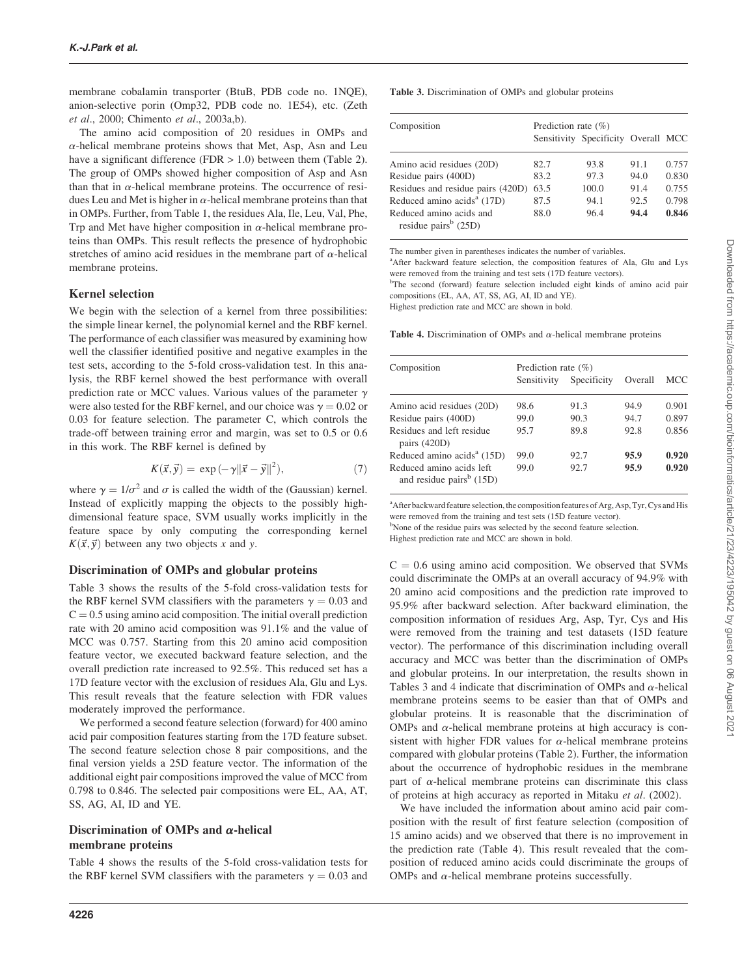membrane cobalamin transporter (BtuB, PDB code no. 1NQE), anion-selective porin (Omp32, PDB code no. 1E54), etc. (Zeth *et al*., 2000; Chimento *et al*., 2003a,b).

The amino acid composition of 20 residues in OMPs and  $\alpha$ -helical membrane proteins shows that Met, Asp, Asn and Leu have a significant difference (FDR  $> 1.0$ ) between them (Table 2). The group of OMPs showed higher composition of Asp and Asn than that in  $\alpha$ -helical membrane proteins. The occurrence of residues Leu and Met is higher in  $\alpha$ -helical membrane proteins than that in OMPs. Further, from Table 1, the residues Ala, Ile, Leu, Val, Phe, Trp and Met have higher composition in  $\alpha$ -helical membrane proteins than OMPs. This result reflects the presence of hydrophobic stretches of amino acid residues in the membrane part of  $\alpha$ -helical membrane proteins.

# Kernel selection

We begin with the selection of a kernel from three possibilities: the simple linear kernel, the polynomial kernel and the RBF kernel. The performance of each classifier was measured by examining how well the classifier identified positive and negative examples in the test sets, according to the 5-fold cross-validation test. In this analysis, the RBF kernel showed the best performance with overall prediction rate or MCC values. Various values of the parameter  $\gamma$ were also tested for the RBF kernel, and our choice was  $\gamma = 0.02$  or 0.03 for feature selection. The parameter C, which controls the trade-off between training error and margin, was set to 0.5 or 0.6 in this work. The RBF kernel is defined by

$$
K(\vec{x}, \vec{y}) = \exp(-\gamma ||\vec{x} - \vec{y}||^2), \qquad (7)
$$

where  $\gamma = 1/\sigma^2$  and  $\sigma$  is called the width of the (Gaussian) kernel. Instead of explicitly mapping the objects to the possibly highdimensional feature space, SVM usually works implicitly in the feature space by only computing the corresponding kernel  $K(\vec{x}, \vec{y})$  between any two objects *x* and *y*.

# Discrimination of OMPs and globular proteins

Table 3 shows the results of the 5-fold cross-validation tests for the RBF kernel SVM classifiers with the parameters  $\gamma = 0.03$  and  $C = 0.5$  using amino acid composition. The initial overall prediction rate with 20 amino acid composition was 91.1% and the value of MCC was 0.757. Starting from this 20 amino acid composition feature vector, we executed backward feature selection, and the overall prediction rate increased to 92.5%. This reduced set has a 17D feature vector with the exclusion of residues Ala, Glu and Lys. This result reveals that the feature selection with FDR values moderately improved the performance.

We performed a second feature selection (forward) for 400 amino acid pair composition features starting from the 17D feature subset. The second feature selection chose 8 pair compositions, and the final version yields a 25D feature vector. The information of the additional eight pair compositions improved the value of MCC from 0.798 to 0.846. The selected pair compositions were EL, AA, AT, SS, AG, AI, ID and YE.

# Discrimination of OMPs and  $\alpha$ -helical membrane proteins

Table 4 shows the results of the 5-fold cross-validation tests for the RBF kernel SVM classifiers with the parameters  $\gamma = 0.03$  and Table 3. Discrimination of OMPs and globular proteins

| Composition                                                 | Prediction rate $(\% )$ | Sensitivity Specificity Overall MCC |      |       |
|-------------------------------------------------------------|-------------------------|-------------------------------------|------|-------|
| Amino acid residues (20D)                                   | 82.7                    | 93.8                                | 91.1 | 0.757 |
| Residue pairs (400D)                                        | 83.2                    | 97.3                                | 94.0 | 0.830 |
| Residues and residue pairs (420D)                           | 63.5                    | 100.0                               | 91.4 | 0.755 |
| Reduced amino $acidsa$ (17D)                                | 87.5                    | 94.1                                | 92.5 | 0.798 |
| Reduced amino acids and<br>residue pairs <sup>b</sup> (25D) | 88.0                    | 96.4                                | 94.4 | 0.846 |

The number given in parentheses indicates the number of variables.

<sup>a</sup>After backward feature selection, the composition features of Ala, Glu and Lys were removed from the training and test sets (17D feature vectors).

<sup>b</sup>The second (forward) feature selection included eight kinds of amino acid pair compositions (EL, AA, AT, SS, AG, AI, ID and YE).

Highest prediction rate and MCC are shown in bold.

Table 4. Discrimination of OMPs and  $\alpha$ -helical membrane proteins

| Composition                                                      | Prediction rate $(\% )$ |             |         |       |  |  |  |
|------------------------------------------------------------------|-------------------------|-------------|---------|-------|--|--|--|
|                                                                  | Sensitivity             | Specificity | Overall | MCC   |  |  |  |
| Amino acid residues (20D)                                        | 98.6                    | 91.3        | 94.9    | 0.901 |  |  |  |
| Residue pairs (400D)                                             | 99.0                    | 90.3        | 94.7    | 0.897 |  |  |  |
| Residues and left residue<br>pairs $(420D)$                      | 95.7                    | 89.8        | 92.8    | 0.856 |  |  |  |
| Reduced amino acids <sup>a</sup> (15D)                           | 99.0                    | 92.7        | 95.9    | 0.920 |  |  |  |
| Reduced amino acids left<br>and residue pairs <sup>b</sup> (15D) | 99.0                    | 92.7        | 95.9    | 0.920 |  |  |  |

<sup>a</sup>After backward feature selection, the composition features of Arg, Asp, Tyr, Cys and His were removed from the training and test sets (15D feature vector). <sup>b</sup>None of the residue pairs was selected by the second feature selection.

Highest prediction rate and MCC are shown in bold.

 $C = 0.6$  using amino acid composition. We observed that SVMs could discriminate the OMPs at an overall accuracy of 94.9% with 20 amino acid compositions and the prediction rate improved to 95.9% after backward selection. After backward elimination, the composition information of residues Arg, Asp, Tyr, Cys and His were removed from the training and test datasets (15D feature vector). The performance of this discrimination including overall accuracy and MCC was better than the discrimination of OMPs and globular proteins. In our interpretation, the results shown in Tables 3 and 4 indicate that discrimination of OMPs and  $\alpha$ -helical membrane proteins seems to be easier than that of OMPs and globular proteins. It is reasonable that the discrimination of OMPs and  $\alpha$ -helical membrane proteins at high accuracy is consistent with higher FDR values for  $\alpha$ -helical membrane proteins compared with globular proteins (Table 2). Further, the information about the occurrence of hydrophobic residues in the membrane part of  $\alpha$ -helical membrane proteins can discriminate this class of proteins at high accuracy as reported in Mitaku *et al*. (2002).

We have included the information about amino acid pair composition with the result of first feature selection (composition of 15 amino acids) and we observed that there is no improvement in the prediction rate (Table 4). This result revealed that the composition of reduced amino acids could discriminate the groups of OMPs and  $\alpha$ -helical membrane proteins successfully.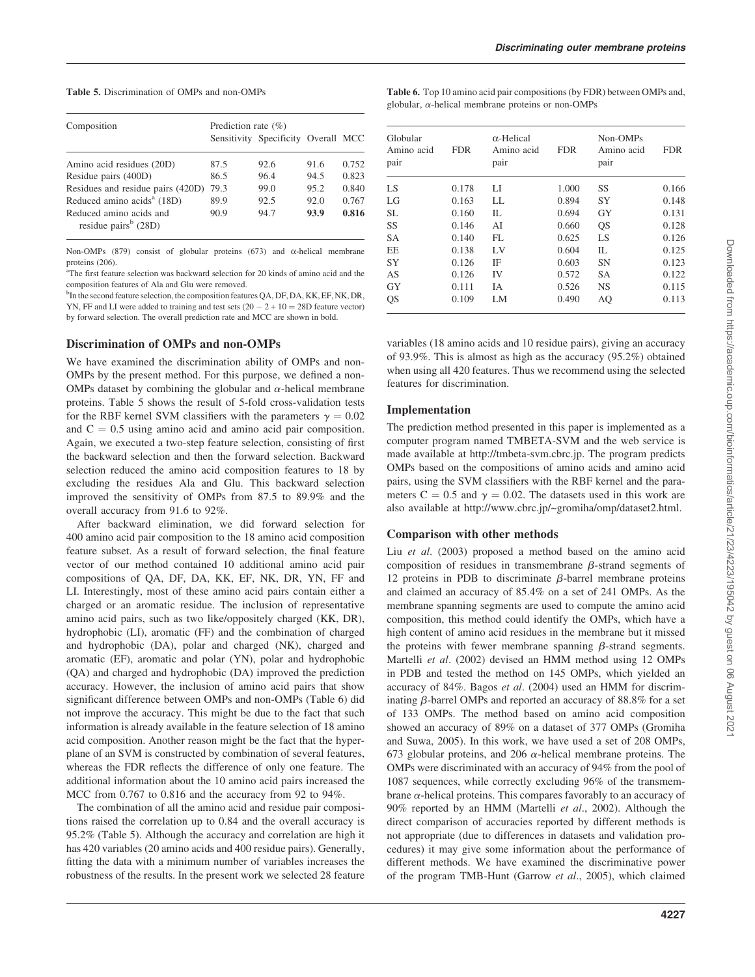#### Table 5. Discrimination of OMPs and non-OMPs

| Composition                                                 | Prediction rate $(\% )$ |                                     |      |       |  |  |
|-------------------------------------------------------------|-------------------------|-------------------------------------|------|-------|--|--|
|                                                             |                         | Sensitivity Specificity Overall MCC |      |       |  |  |
| Amino acid residues (20D)                                   | 87.5                    | 92.6                                | 91.6 | 0.752 |  |  |
| Residue pairs (400D)                                        | 86.5                    | 96.4                                | 94.5 | 0.823 |  |  |
| Residues and residue pairs (420D)                           | 79.3                    | 99.0                                | 95.2 | 0.840 |  |  |
| Reduced amino acids <sup>a</sup> (18D)                      | 89.9                    | 92.5                                | 92.0 | 0.767 |  |  |
| Reduced amino acids and<br>residue pairs <sup>b</sup> (28D) | 90.9                    | 94.7                                | 93.9 | 0.816 |  |  |

Non-OMPs (879) consist of globular proteins (673) and  $\alpha$ -helical membrane proteins (206).

<sup>a</sup>The first feature selection was backward selection for 20 kinds of amino acid and the composition features of Ala and Glu were removed.

<sup>b</sup>In the second feature selection, the composition features QA, DF, DA, KK, EF, NK, DR, YN, FF and LI were added to training and test sets  $(20 - 2 + 10 = 28D)$  feature vector) by forward selection. The overall prediction rate and MCC are shown in bold.

#### Discrimination of OMPs and non-OMPs

We have examined the discrimination ability of OMPs and non-OMPs by the present method. For this purpose, we defined a non-OMPs dataset by combining the globular and  $\alpha$ -helical membrane proteins. Table 5 shows the result of 5-fold cross-validation tests for the RBF kernel SVM classifiers with the parameters  $\gamma = 0.02$ and  $C = 0.5$  using amino acid and amino acid pair composition. Again, we executed a two-step feature selection, consisting of first the backward selection and then the forward selection. Backward selection reduced the amino acid composition features to 18 by excluding the residues Ala and Glu. This backward selection improved the sensitivity of OMPs from 87.5 to 89.9% and the overall accuracy from 91.6 to 92%.

After backward elimination, we did forward selection for 400 amino acid pair composition to the 18 amino acid composition feature subset. As a result of forward selection, the final feature vector of our method contained 10 additional amino acid pair compositions of QA, DF, DA, KK, EF, NK, DR, YN, FF and LI. Interestingly, most of these amino acid pairs contain either a charged or an aromatic residue. The inclusion of representative amino acid pairs, such as two like/oppositely charged (KK, DR), hydrophobic (LI), aromatic (FF) and the combination of charged and hydrophobic (DA), polar and charged (NK), charged and aromatic (EF), aromatic and polar (YN), polar and hydrophobic (QA) and charged and hydrophobic (DA) improved the prediction accuracy. However, the inclusion of amino acid pairs that show significant difference between OMPs and non-OMPs (Table 6) did not improve the accuracy. This might be due to the fact that such information is already available in the feature selection of 18 amino acid composition. Another reason might be the fact that the hyperplane of an SVM is constructed by combination of several features, whereas the FDR reflects the difference of only one feature. The additional information about the 10 amino acid pairs increased the MCC from 0.767 to 0.816 and the accuracy from 92 to 94%.

The combination of all the amino acid and residue pair compositions raised the correlation up to 0.84 and the overall accuracy is 95.2% (Table 5). Although the accuracy and correlation are high it has 420 variables (20 amino acids and 400 residue pairs). Generally, fitting the data with a minimum number of variables increases the robustness of the results. In the present work we selected 28 feature Table 6. Top 10 amino acid pair compositions (by FDR) between OMPs and, globular,  $\alpha$ -helical membrane proteins or non-OMPs

| Globular<br>Amino acid<br>pair | <b>FDR</b> | $\alpha$ -Helical<br>Amino acid<br>pair | <b>FDR</b> | Non-OMPs<br>Amino acid<br>pair | <b>FDR</b> |
|--------------------------------|------------|-----------------------------------------|------------|--------------------------------|------------|
| LS                             | 0.178      | LI                                      | 1.000      | SS                             | 0.166      |
| LG                             | 0.163      | LL.                                     | 0.894      | SY                             | 0.148      |
| <b>SL</b>                      | 0.160      | IL                                      | 0.694      | GY                             | 0.131      |
| SS                             | 0.146      | AI                                      | 0.660      | QS                             | 0.128      |
| <b>SA</b>                      | 0.140      | FL                                      | 0.625      | LS                             | 0.126      |
| EE                             | 0.138      | LV                                      | 0.604      | $\Pi$ .                        | 0.125      |
| SY                             | 0.126      | IF                                      | 0.603      | <b>SN</b>                      | 0.123      |
| AS                             | 0.126      | IV                                      | 0.572      | <b>SA</b>                      | 0.122      |
| GY                             | 0.111      | <b>IA</b>                               | 0.526      | <b>NS</b>                      | 0.115      |
| QS                             | 0.109      | LM                                      | 0.490      | AQ                             | 0.113      |

variables (18 amino acids and 10 residue pairs), giving an accuracy of 93.9%. This is almost as high as the accuracy (95.2%) obtained when using all 420 features. Thus we recommend using the selected features for discrimination.

## Implementation

The prediction method presented in this paper is implemented as a computer program named TMBETA-SVM and the web service is made available at http://tmbeta-svm.cbrc.jp. The program predicts OMPs based on the compositions of amino acids and amino acid pairs, using the SVM classifiers with the RBF kernel and the parameters C = 0.5 and  $\gamma$  = 0.02. The datasets used in this work are also available at http://www.cbrc.jp/~gromiha/omp/dataset2.html.

#### Comparison with other methods

Liu *et al*. (2003) proposed a method based on the amino acid composition of residues in transmembrane  $\beta$ -strand segments of 12 proteins in PDB to discriminate  $\beta$ -barrel membrane proteins and claimed an accuracy of 85.4% on a set of 241 OMPs. As the membrane spanning segments are used to compute the amino acid composition, this method could identify the OMPs, which have a high content of amino acid residues in the membrane but it missed the proteins with fewer membrane spanning  $\beta$ -strand segments. Martelli *et al*. (2002) devised an HMM method using 12 OMPs in PDB and tested the method on 145 OMPs, which yielded an accuracy of 84%. Bagos *et al*. (2004) used an HMM for discriminating  $\beta$ -barrel OMPs and reported an accuracy of 88.8% for a set of 133 OMPs. The method based on amino acid composition showed an accuracy of 89% on a dataset of 377 OMPs (Gromiha and Suwa, 2005). In this work, we have used a set of 208 OMPs, 673 globular proteins, and 206  $\alpha$ -helical membrane proteins. The OMPs were discriminated with an accuracy of 94% from the pool of 1087 sequences, while correctly excluding 96% of the transmembrane  $\alpha$ -helical proteins. This compares favorably to an accuracy of 90% reported by an HMM (Martelli *et al*., 2002). Although the direct comparison of accuracies reported by different methods is not appropriate (due to differences in datasets and validation procedures) it may give some information about the performance of different methods. We have examined the discriminative power of the program TMB-Hunt (Garrow *et al*., 2005), which claimed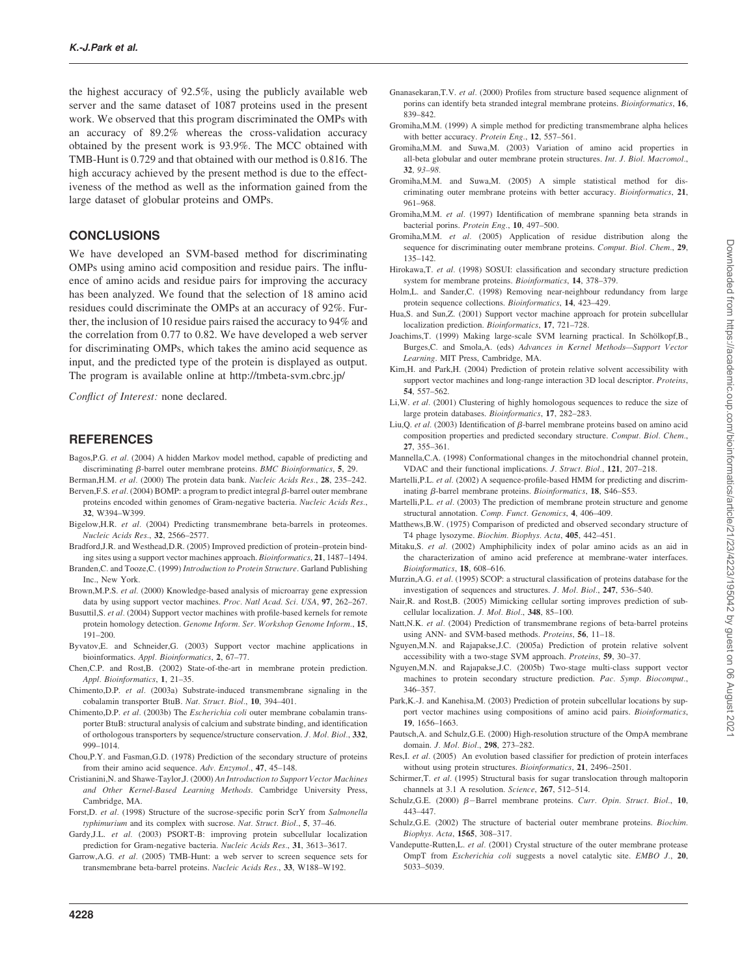the highest accuracy of 92.5%, using the publicly available web server and the same dataset of 1087 proteins used in the present work. We observed that this program discriminated the OMPs with an accuracy of 89.2% whereas the cross-validation accuracy obtained by the present work is 93.9%. The MCC obtained with TMB-Hunt is 0.729 and that obtained with our method is 0.816. The high accuracy achieved by the present method is due to the effectiveness of the method as well as the information gained from the large dataset of globular proteins and OMPs.

# CONCLUSIONS

We have developed an SVM-based method for discriminating OMPs using amino acid composition and residue pairs. The influence of amino acids and residue pairs for improving the accuracy has been analyzed. We found that the selection of 18 amino acid residues could discriminate the OMPs at an accuracy of 92%. Further, the inclusion of 10 residue pairs raised the accuracy to 94% and the correlation from 0.77 to 0.82. We have developed a web server for discriminating OMPs, which takes the amino acid sequence as input, and the predicted type of the protein is displayed as output. The program is available online at http://tmbeta-svm.cbrc.jp/

*Conflict of Interest:* none declared.

# **REFERENCES**

- Bagos,P.G. *et al.* (2004) A hidden Markov model method, capable of predicting and discriminating  $\beta$ -barrel outer membrane proteins. *BMC Bioinformatics*, 5, 29.
- Berman,H.M. *et al.* (2000) The protein data bank. *Nucleic Acids Res.*, 28, 235–242. Berven, F.S.  $et$  al. (2004) BOMP: a program to predict integral  $\beta$ -barrel outer membrane proteins encoded within genomes of Gram-negative bacteria. *Nucleic Acids Res.*, 32, W394–W399.
- Bigelow,H.R. *et al.* (2004) Predicting transmembrane beta-barrels in proteomes. *Nucleic Acids Res.*, 32, 2566–2577.
- Bradford,J.R. and Westhead,D.R. (2005) Improved prediction of protein–protein binding sites using a support vector machines approach. *Bioinformatics*, 21, 1487–1494.
- Branden,C. and Tooze,C. (1999) *Introduction to Protein Structure*. Garland Publishing Inc., New York.
- Brown,M.P.S. *et al.* (2000) Knowledge-based analysis of microarray gene expression data by using support vector machines. *Proc. Natl Acad. Sci. USA*, 97, 262–267.
- Busuttil,S. *et al.* (2004) Support vector machines with profile-based kernels for remote protein homology detection. *Genome Inform. Ser. Workshop Genome Inform.*, 15, 191–200.
- Byvatov,E. and Schneider,G. (2003) Support vector machine applications in bioinformatics. *Appl. Bioinformatics*, 2, 67–77.
- Chen,C.P. and Rost,B. (2002) State-of-the-art in membrane protein prediction. *Appl. Bioinformatics*, 1, 21–35.
- Chimento,D.P. *et al.* (2003a) Substrate-induced transmembrane signaling in the cobalamin transporter BtuB. *Nat. Struct. Biol.*, 10, 394–401.
- Chimento,D.P. *et al.* (2003b) The *Escherichia coli* outer membrane cobalamin transporter BtuB: structural analysis of calcium and substrate binding, and identification of orthologous transporters by sequence/structure conservation. *J. Mol. Biol.*, 332, 999–1014.
- Chou,P.Y. and Fasman,G.D. (1978) Prediction of the secondary structure of proteins from their amino acid sequence. *Adv. Enzymol.*, 47, 45–148.
- Cristianini,N. and Shawe-Taylor,J. (2000) *An Introduction to Support Vector Machines and Other Kernel-Based Learning Methods*. Cambridge University Press, Cambridge, MA.
- Forst,D. *et al.* (1998) Structure of the sucrose-specific porin ScrY from *Salmonella typhimurium* and its complex with sucrose. *Nat. Struct. Biol.*, 5, 37–46.
- Gardy,J.L. *et al.* (2003) PSORT-B: improving protein subcellular localization prediction for Gram-negative bacteria. *Nucleic Acids Res.*, 31, 3613–3617.
- Garrow,A.G. *et al.* (2005) TMB-Hunt: a web server to screen sequence sets for transmembrane beta-barrel proteins. *Nucleic Acids Res.*, 33, W188–W192.
- Gnanasekaran,T.V. *et al.* (2000) Profiles from structure based sequence alignment of porins can identify beta stranded integral membrane proteins. *Bioinformatics*, 16, 839–842.
- Gromiha,M.M. (1999) A simple method for predicting transmembrane alpha helices with better accuracy. *Protein Eng.*, 12, 557–561.
- Gromiha,M.M. and Suwa,M. (2003) Variation of amino acid properties in all-beta globular and outer membrane protein structures. *Int. J. Biol. Macromol.*, 32*, 93–98.*
- Gromiha,M.M. and Suwa,M. (2005) A simple statistical method for discriminating outer membrane proteins with better accuracy. *Bioinformatics*, 21, 961–968.
- Gromiha,M.M. *et al.* (1997) Identification of membrane spanning beta strands in bacterial porins. *Protein Eng.*, 10, 497–500.
- Gromiha,M.M. *et al.* (2005) Application of residue distribution along the sequence for discriminating outer membrane proteins. *Comput. Biol. Chem.*, 29, 135–142.
- Hirokawa,T. et al. (1998) SOSUI: classification and secondary structure prediction system for membrane proteins. *Bioinformatics*, 14, 378–379.
- Holm,L. and Sander,C. (1998) Removing near-neighbour redundancy from large protein sequence collections. *Bioinformatics*, 14, 423–429.
- Hua,S. and Sun,Z. (2001) Support vector machine approach for protein subcellular localization prediction. *Bioinformatics*, 17, 721–728.
- Joachims, T. (1999) Making large-scale SVM learning practical. In Schölkopf, B., Burges,C. and Smola,A. (eds) *Advances in Kernel Methods—Support Vector Learning*. MIT Press, Cambridge, MA.
- Kim,H. and Park,H. (2004) Prediction of protein relative solvent accessibility with support vector machines and long-range interaction 3D local descriptor. *Proteins*, 54, 557–562.
- Li,W. *et al.* (2001) Clustering of highly homologous sequences to reduce the size of large protein databases. *Bioinformatics*, 17, 282–283.
- Liu, O. *et al.* (2003) Identification of *B*-barrel membrane proteins based on amino acid composition properties and predicted secondary structure. *Comput. Biol. Chem.*, 27, 355–361.
- Mannella,C.A. (1998) Conformational changes in the mitochondrial channel protein, VDAC and their functional implications. *J. Struct. Biol.*, 121, 207–218.
- Martelli, P.L. *et al.* (2002) A sequence-profile-based HMM for predicting and discriminating b-barrel membrane proteins. *Bioinformatics*, 18, S46–S53.
- Martelli,P.L. *et al.* (2003) The prediction of membrane protein structure and genome structural annotation. *Comp. Funct. Genomics*, 4, 406–409.
- Matthews,B.W. (1975) Comparison of predicted and observed secondary structure of T4 phage lysozyme. *Biochim. Biophys. Acta*, 405, 442–451.
- Mitaku,S. *et al.* (2002) Amphiphilicity index of polar amino acids as an aid in the characterization of amino acid preference at membrane-water interfaces. *Bioinformatics*, 18, 608–616.
- Murzin,A.G. *et al.* (1995) SCOP: a structural classification of proteins database for the investigation of sequences and structures. *J. Mol. Biol.*, 247, 536–540.
- Nair,R. and Rost,B. (2005) Mimicking cellular sorting improves prediction of subcellular localization. *J. Mol. Biol.*, 348, 85–100.
- Natt,N.K. *et al.* (2004) Prediction of transmembrane regions of beta-barrel proteins using ANN- and SVM-based methods. *Proteins*, 56, 11–18.
- Nguyen,M.N. and Rajapakse,J.C. (2005a) Prediction of protein relative solvent accessibility with a two-stage SVM approach. *Proteins*, 59, 30–37.
- Nguyen,M.N. and Rajapakse,J.C. (2005b) Two-stage multi-class support vector machines to protein secondary structure prediction. *Pac. Symp. Biocomput.*, 346–357.
- Park,K.-J. and Kanehisa,M. (2003) Prediction of protein subcellular locations by support vector machines using compositions of amino acid pairs. *Bioinformatics*, 19, 1656–1663.
- Pautsch,A. and Schulz,G.E. (2000) High-resolution structure of the OmpA membrane domain. *J. Mol. Biol.*, 298, 273–282.
- Res,I. *et al.* (2005) An evolution based classifier for prediction of protein interfaces without using protein structures. *Bioinformatics*, 21, 2496–2501.
- Schirmer, T. *et al.* (1995) Structural basis for sugar translocation through maltoporin channels at 3.1 A resolution. *Science*, 267, 512–514.
- Schulz, G.E. (2000)  $\beta$ -Barrel membrane proteins. *Curr. Opin. Struct. Biol.*, 10, 443–447.
- Schulz,G.E. (2002) The structure of bacterial outer membrane proteins. *Biochim. Biophys. Acta*, 1565, 308–317.
- Vandeputte-Rutten,L. *et al.* (2001) Crystal structure of the outer membrane protease OmpT from *Escherichia coli* suggests a novel catalytic site. *EMBO J.*, 20, 5033–5039.